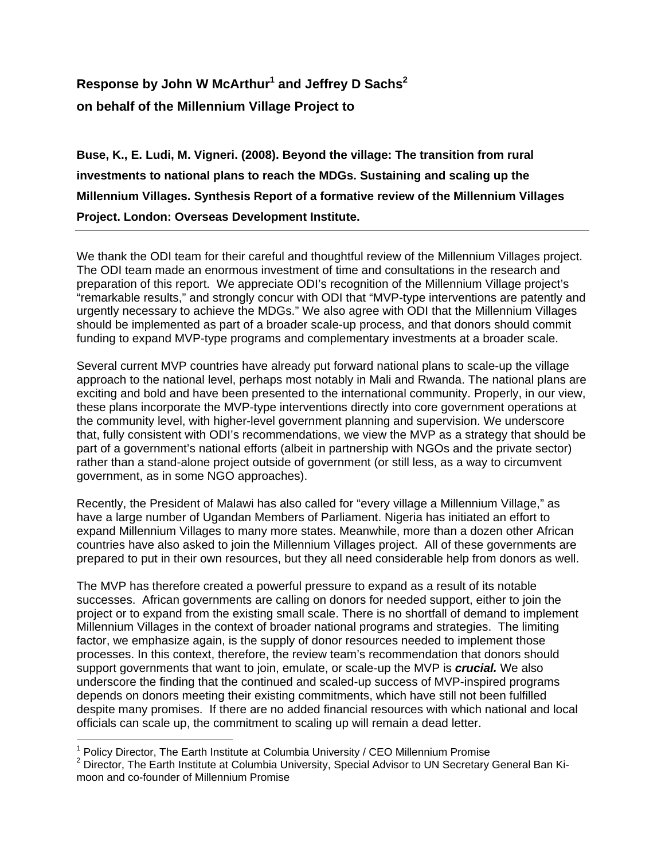## **Response by John W McArthur1 and Jeffrey D Sachs<sup>2</sup> on behalf of the Millennium Village Project to**

**Buse, K., E. Ludi, M. Vigneri. (2008). Beyond the village: The transition from rural investments to national plans to reach the MDGs. Sustaining and scaling up the Millennium Villages. Synthesis Report of a formative review of the Millennium Villages Project. London: Overseas Development Institute.** 

We thank the ODI team for their careful and thoughtful review of the Millennium Villages project. The ODI team made an enormous investment of time and consultations in the research and preparation of this report. We appreciate ODI's recognition of the Millennium Village project's "remarkable results," and strongly concur with ODI that "MVP-type interventions are patently and urgently necessary to achieve the MDGs." We also agree with ODI that the Millennium Villages should be implemented as part of a broader scale-up process, and that donors should commit funding to expand MVP-type programs and complementary investments at a broader scale.

Several current MVP countries have already put forward national plans to scale-up the village approach to the national level, perhaps most notably in Mali and Rwanda. The national plans are exciting and bold and have been presented to the international community. Properly, in our view, these plans incorporate the MVP-type interventions directly into core government operations at the community level, with higher-level government planning and supervision. We underscore that, fully consistent with ODI's recommendations, we view the MVP as a strategy that should be part of a government's national efforts (albeit in partnership with NGOs and the private sector) rather than a stand-alone project outside of government (or still less, as a way to circumvent government, as in some NGO approaches).

Recently, the President of Malawi has also called for "every village a Millennium Village," as have a large number of Ugandan Members of Parliament. Nigeria has initiated an effort to expand Millennium Villages to many more states. Meanwhile, more than a dozen other African countries have also asked to join the Millennium Villages project. All of these governments are prepared to put in their own resources, but they all need considerable help from donors as well.

The MVP has therefore created a powerful pressure to expand as a result of its notable successes. African governments are calling on donors for needed support, either to join the project or to expand from the existing small scale. There is no shortfall of demand to implement Millennium Villages in the context of broader national programs and strategies. The limiting factor, we emphasize again, is the supply of donor resources needed to implement those processes. In this context, therefore, the review team's recommendation that donors should support governments that want to join, emulate, or scale-up the MVP is *crucial.* We also underscore the finding that the continued and scaled-up success of MVP-inspired programs depends on donors meeting their existing commitments, which have still not been fulfilled despite many promises. If there are no added financial resources with which national and local officials can scale up, the commitment to scaling up will remain a dead letter.

 $\overline{a}$ 

<sup>&</sup>lt;sup>1</sup> Policy Director, The Earth Institute at Columbia University / CEO Millennium Promise<br><sup>2</sup> Director, The Earth Institute at Columbia University, Special Advisor to UN Secretary.

 $2$  Director, The Earth Institute at Columbia University, Special Advisor to UN Secretary General Ban Kimoon and co-founder of Millennium Promise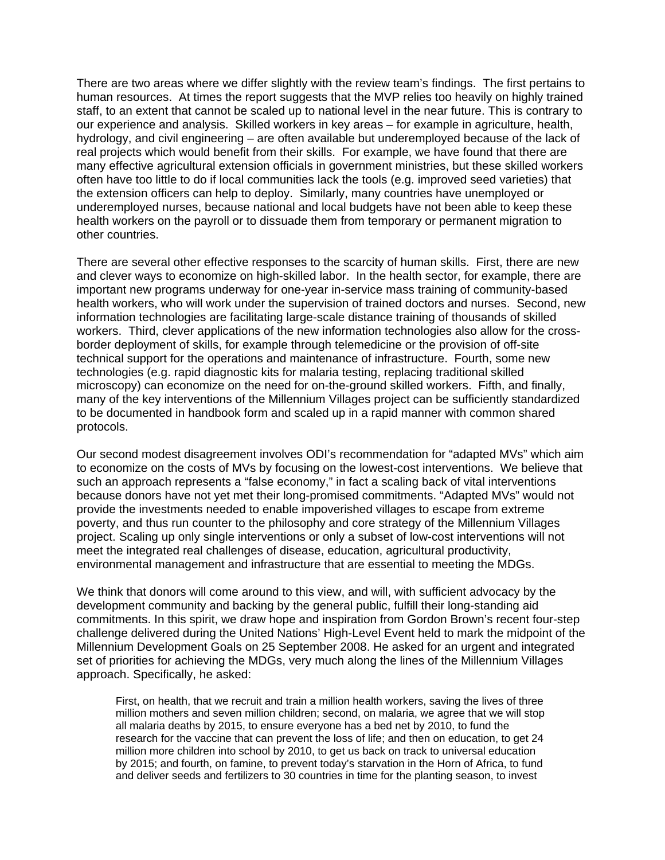There are two areas where we differ slightly with the review team's findings. The first pertains to human resources. At times the report suggests that the MVP relies too heavily on highly trained staff, to an extent that cannot be scaled up to national level in the near future. This is contrary to our experience and analysis. Skilled workers in key areas – for example in agriculture, health, hydrology, and civil engineering – are often available but underemployed because of the lack of real projects which would benefit from their skills. For example, we have found that there are many effective agricultural extension officials in government ministries, but these skilled workers often have too little to do if local communities lack the tools (e.g. improved seed varieties) that the extension officers can help to deploy. Similarly, many countries have unemployed or underemployed nurses, because national and local budgets have not been able to keep these health workers on the payroll or to dissuade them from temporary or permanent migration to other countries.

There are several other effective responses to the scarcity of human skills. First, there are new and clever ways to economize on high-skilled labor. In the health sector, for example, there are important new programs underway for one-year in-service mass training of community-based health workers, who will work under the supervision of trained doctors and nurses. Second, new information technologies are facilitating large-scale distance training of thousands of skilled workers. Third, clever applications of the new information technologies also allow for the crossborder deployment of skills, for example through telemedicine or the provision of off-site technical support for the operations and maintenance of infrastructure. Fourth, some new technologies (e.g. rapid diagnostic kits for malaria testing, replacing traditional skilled microscopy) can economize on the need for on-the-ground skilled workers. Fifth, and finally, many of the key interventions of the Millennium Villages project can be sufficiently standardized to be documented in handbook form and scaled up in a rapid manner with common shared protocols.

Our second modest disagreement involves ODI's recommendation for "adapted MVs" which aim to economize on the costs of MVs by focusing on the lowest-cost interventions. We believe that such an approach represents a "false economy," in fact a scaling back of vital interventions because donors have not yet met their long-promised commitments. "Adapted MVs" would not provide the investments needed to enable impoverished villages to escape from extreme poverty, and thus run counter to the philosophy and core strategy of the Millennium Villages project. Scaling up only single interventions or only a subset of low-cost interventions will not meet the integrated real challenges of disease, education, agricultural productivity, environmental management and infrastructure that are essential to meeting the MDGs.

We think that donors will come around to this view, and will, with sufficient advocacy by the development community and backing by the general public, fulfill their long-standing aid commitments. In this spirit, we draw hope and inspiration from Gordon Brown's recent four-step challenge delivered during the United Nations' High-Level Event held to mark the midpoint of the Millennium Development Goals on 25 September 2008. He asked for an urgent and integrated set of priorities for achieving the MDGs, very much along the lines of the Millennium Villages approach. Specifically, he asked:

First, on health, that we recruit and train a million health workers, saving the lives of three million mothers and seven million children; second, on malaria, we agree that we will stop all malaria deaths by 2015, to ensure everyone has a bed net by 2010, to fund the research for the vaccine that can prevent the loss of life; and then on education, to get 24 million more children into school by 2010, to get us back on track to universal education by 2015; and fourth, on famine, to prevent today's starvation in the Horn of Africa, to fund and deliver seeds and fertilizers to 30 countries in time for the planting season, to invest